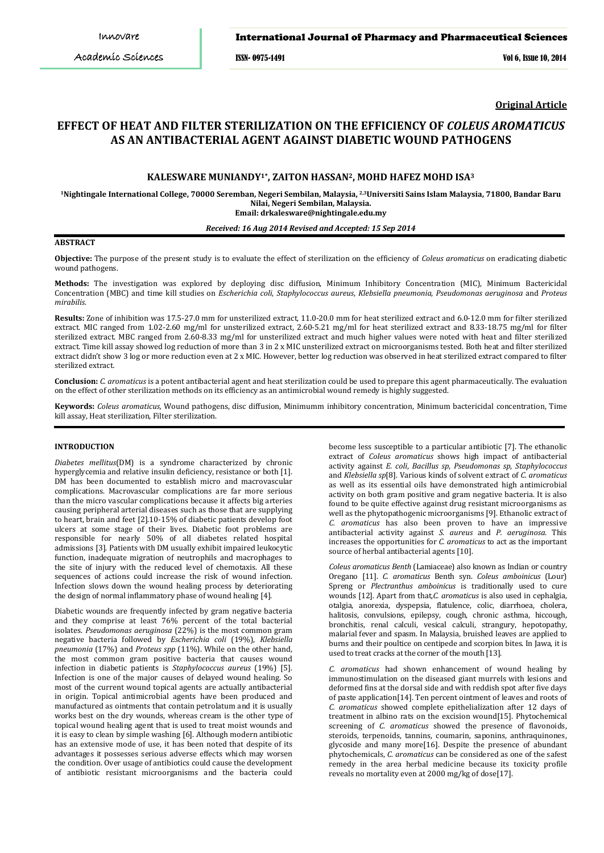#### International Journal of Pharmacy and Pharmaceutical Sciences

ISSN- 0975-1491 Vol 6, Issue 10, 2014

**Original Article**

# **EFFECT OF HEAT AND FILTER STERILIZATION ON THE EFFICIENCY OF** *COLEUS AROMATICUS* **AS AN ANTIBACTERIAL AGENT AGAINST DIABETIC WOUND PATHOGENS**

# **KALESWARE MUNIANDY1\*, ZAITON HASSAN2, MOHD HAFEZ MOHD ISA3**

**1Nightingale International College, 70000 Seremban, Negeri Sembilan, Malaysia, 2,3 Universiti Sains Islam Malaysia, 71800, Bandar Baru Nilai, Negeri Sembilan, Malaysia.**

**Email: drkalesware@nightingale.edu.my**

## *Received: 16 Aug 2014 Revised and Accepted: 15 Sep 2014*

# **ABSTRACT**

**Objective:** The purpose of the present study is to evaluate the effect of sterilization on the efficiency of *Coleus aromaticus* on eradicating diabetic wound pathogens.

**Methods:** The investigation was explored by deploying disc diffusion, Minimum Inhibitory Concentration (MIC), Minimum Bactericidal Concentration (MBC) and time kill studies on *Escherichia coli*, *Staphylococcus aureus*, *Klebsiella pneumonia*, *Pseudomonas aeruginosa* and *Proteus mirabilis*.

**Results:** Zone of inhibition was 17.5-27.0 mm for unsterilized extract, 11.0-20.0 mm for heat sterilized extract and 6.0-12.0 mm for filter sterilized extract. MIC ranged from 1.02-2.60 mg/ml for unsterilized extract, 2.60-5.21 mg/ml for heat sterilized extract and 8.33-18.75 mg/ml for filter sterilized extract. MBC ranged from 2.60-8.33 mg/ml for unsterilized extract and much higher values were noted with heat and filter sterilized extract. Time kill assay showed log reduction of more than 3 in 2 x MIC unsterilized extract on microorganisms tested. Both heat and filter sterilized extract didn't show 3 log or more reduction even at 2 x MIC. However, better log reduction was observed in heat sterilized extract compared to filter sterilized extract*.*

**Conclusion:** *C. aromaticus* is a potent antibacterial agent and heat sterilization could be used to prepare this agent pharmaceutically. The evaluation on the effect of other sterilization methods on its efficiency as an antimicrobial wound remedy is highly suggested.

**Keywords:** *Coleus aromaticus,* Wound pathogens, disc diffusion, Minimumm inhibitory concentration, Minimum bactericidal concentration, Time kill assay, Heat sterilization, Filter sterilization.

# **INTRODUCTION**

*Diabetes mellitus*(DM) is a syndrome characterized by chronic hyperglycemia and relative insulin deficiency, resistance or both [1]. DM has been documented to establish micro and macrovascular complications. Macrovascular complications are far more serious than the micro vascular complications because it affects big arteries causing peripheral arterial diseases such as those that are supplying to heart, brain and feet [2].10-15% of diabetic patients develop foot ulcers at some stage of their lives. Diabetic foot problems are responsible for nearly 50% of all diabetes related hospital admissions [3]. Patients with DM usually exhibit impaired leukocytic function, inadequate migration of neutrophils and macrophages to the site of injury with the reduced level of chemotaxis. All these sequences of actions could increase the risk of wound infection. Infection slows down the wound healing process by deteriorating the design of normal inflammatory phase of wound healing [4].

Diabetic wounds are frequently infected by gram negative bacteria and they comprise at least 76% percent of the total bacterial isolates. *Pseudomonas aeruginosa* (22%) is the most common gram negative bacteria followed by *Escherichia coli* (19%), *Klebsiella pneumonia* (17%) and *Proteus spp* (11%). While on the other hand, the most common gram positive bacteria that causes wound infection in diabetic patients is *Staphylococcus aureus* (19%) [5]. Infection is one of the major causes of delayed wound healing. So most of the current wound topical agents are actually antibacterial in origin. Topical antimicrobial agents have been produced and manufactured as ointments that contain petrolatum and it is usually works best on the dry wounds, whereas cream is the other type of topical wound healing agent that is used to treat moist wounds and it is easy to clean by simple washing [6]. Although modern antibiotic has an extensive mode of use, it has been noted that despite of its advantages it possesses serious adverse effects which may worsen the condition. Over usage of antibiotics could cause the development of antibiotic resistant microorganisms and the bacteria could

become less susceptible to a particular antibiotic [7]. The ethanolic extract of *Coleus aromaticus* shows high impact of antibacterial activity against *E. coli*, *Bacillus sp*, *Pseudomonas sp*, *Staphylococcus* and *Klebsiella sp*[8]. Various kinds of solvent extract of *C. aromaticus* as well as its essential oils have demonstrated high antimicrobial activity on both gram positive and gram negative bacteria. It is also found to be quite effective against drug resistant microorganisms as well as the phytopathogenic microorganisms [9]. Ethanolic extract of *C. aromaticus* has also been proven to have an impressive antibacterial activity against *S. aureus* and *P. aeruginosa.* This increases the opportunities for *C. aromaticus* to act as the important source of herbal antibacterial agents [10].

*Coleus aromaticus Benth* (Lamiaceae) also known as Indian or country Oregano [11]. *C. aromaticus* Benth syn. *Coleus amboinicus* (Lour) Spreng or *Plectranthus amboinicus* is traditionally used to cure wounds [12]. Apart from that,*C. aromaticus* is also used in cephalgia, otalgia, anorexia, dyspepsia, flatulence, colic, diarrhoea, cholera, halitosis, convulsions, epilepsy, cough, chronic asthma, hiccough, bronchitis, renal calculi, vesical calculi, strangury, hepotopathy, malarial fever and spasm. In Malaysia, bruished leaves are applied to burns and their poultice on centipede and scorpion bites. In Jawa, it is used to treat cracks at the corner of the mouth [13].

*C. aromaticus* had shown enhancement of wound healing by immunostimulation on the diseased giant murrels with lesions and deformed fins at the dorsal side and with reddish spot after five days of paste application[14]. Ten percent ointment of leaves and roots of *C. aromaticus* showed complete epithelialization after 12 days of treatment in albino rats on the excision wound[15]. Phytochemical screening of *C. aromaticus* showed the presence of flavonoids, steroids, terpenoids, tannins, coumarin, saponins, anthraquinones, glycoside and many more[16]. Despite the presence of abundant phytochemicals, *C. aromaticus* can be considered as one of the safest remedy in the area herbal medicine because its toxicity profile reveals no mortality even at 2000 mg/kg of dose[17].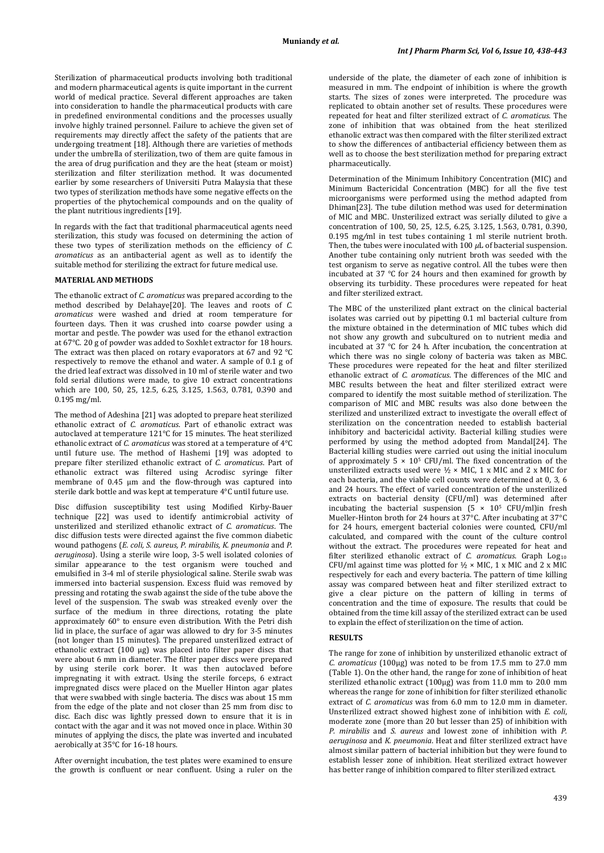Sterilization of pharmaceutical products involving both traditional and modern pharmaceutical agents is quite important in the current world of medical practice. Several different approaches are taken into consideration to handle the pharmaceutical products with care in predefined environmental conditions and the processes usually involve highly trained personnel. Failure to achieve the given set of requirements may directly affect the safety of the patients that are undergoing treatment [18]. Although there are varieties of methods under the umbrella of sterilization, two of them are quite famous in the area of drug purification and they are the heat (steam or moist) sterilization and filter sterilization method. It was documented earlier by some researchers of Universiti Putra Malaysia that these two types of sterilization methods have some negative effects on the properties of the phytochemical compounds and on the quality of the plant nutritious ingredients [19].

In regards with the fact that traditional pharmaceutical agents need sterilization, this study was focused on determining the action of these two types of sterilization methods on the efficiency of *C. aromaticus* as an antibacterial agent as well as to identify the suitable method for sterilizing the extract for future medical use.

#### **MATERIAL AND METHODS**

The ethanolic extract of *C. aromaticus* was prepared according to the method described by Delahaye[20]. The leaves and roots of *C. aromaticus* were washed and dried at room temperature for fourteen days. Then it was crushed into coarse powder using a mortar and pestle. The powder was used for the ethanol extraction at 67°C. 20 g of powder was added to Soxhlet extractor for 18 hours. The extract was then placed on rotary evaporators at 67 and 92 °C respectively to remove the ethanol and water. A sample of 0.1 g of the dried leaf extract was dissolved in 10 ml of sterile water and two fold serial dilutions were made, to give 10 extract concentrations which are 100, 50, 25, 12.5, 6.25, 3.125, 1.563, 0.781, 0.390 and 0.195 mg/ml.

The method of Adeshina [21] was adopted to prepare heat sterilized ethanolic extract of *C. aromaticus*. Part of ethanolic extract was autoclaved at temperature 121°C for 15 minutes. The heat sterilized ethanolic extract of *C. aromaticus* was stored at a temperature of 4°C until future use. The method of Hashemi [19] was adopted to prepare filter sterilized ethanolic extract of *C. aromaticus*. Part of ethanolic extract was filtered using Acrodisc syringe filter membrane of 0.45 μm and the flow-through was captured into sterile dark bottle and was kept at temperature 4°C until future use.

Disc diffusion susceptibility test using Modified Kirby-Bauer technique [22] was used to identify antimicrobial activity of unsterilized and sterilized ethanolic extract of *C. aromaticus*. The disc diffusion tests were directed against the five common diabetic wound pathogens (*E. coli, S. aureus, P. mirabilis, K. pneumonia* and *P. aeruginosa*). Using a sterile wire loop, 3-5 well isolated colonies of similar appearance to the test organism were touched and emulsified in 3-4 ml of sterile physiological saline. Sterile swab was immersed into bacterial suspension. Excess fluid was removed by pressing and rotating the swab against the side of the tube above the level of the suspension. The swab was streaked evenly over the surface of the medium in three directions, rotating the plate approximately 60° to ensure even distribution. With the Petri dish lid in place, the surface of agar was allowed to dry for 3-5 minutes (not longer than 15 minutes). The prepared unsterilized extract of ethanolic extract (100 μg) was placed into filter paper discs that were about 6 mm in diameter. The filter paper discs were prepared by using sterile cork borer. It was then autoclaved before impregnating it with extract. Using the sterile forceps, 6 extract impregnated discs were placed on the Mueller Hinton agar plates that were swabbed with single bacteria. The discs was about 15 mm from the edge of the plate and not closer than 25 mm from disc to disc. Each disc was lightly pressed down to ensure that it is in contact with the agar and it was not moved once in place. Within 30 minutes of applying the discs, the plate was inverted and incubated aerobically at 35°C for 16-18 hours.

After overnight incubation, the test plates were examined to ensure the growth is confluent or near confluent. Using a ruler on the underside of the plate, the diameter of each zone of inhibition is measured in mm. The endpoint of inhibition is where the growth starts. The sizes of zones were interpreted. The procedure was replicated to obtain another set of results. These procedures were repeated for heat and filter sterilized extract of *C. aromaticus*. The zone of inhibition that was obtained from the heat sterilized ethanolic extract was then compared with the filter sterilized extract to show the differences of antibacterial efficiency between them as well as to choose the best sterilization method for preparing extract pharmaceutically.

Determination of the Minimum Inhibitory Concentration (MIC) and Minimum Bactericidal Concentration (MBC) for all the five test microorganisms were performed using the method adapted from Dhiman[23]. The tube dilution method was used for determination of MIC and MBC. Unsterilized extract was serially diluted to give a concentration of 100, 50, 25, 12.5, 6.25, 3.125, 1.563, 0.781, 0.390, 0.195 mg*/*ml in test tubes containing 1 ml sterile nutrient broth. Then, the tubes were inoculated with 100 *μ*L of bacterial suspension. Another tube containing only nutrient broth was seeded with the test organism to serve as negative control. All the tubes were then incubated at 37 °C for 24 hours and then examined for growth by observing its turbidity. These procedures were repeated for heat and filter sterilized extract.

The MBC of the unsterilized plant extract on the clinical bacterial isolates was carried out by pipetting 0.1 ml bacterial culture from the mixture obtained in the determination of MIC tubes which did not show any growth and subcultured on to nutrient media and incubated at 37 °C for 24 h. After incubation, the concentration at which there was no single colony of bacteria was taken as MBC. These procedures were repeated for the heat and filter sterilized ethanolic extract of *C. aromaticus*. The differences of the MIC and MBC results between the heat and filter sterilized extract were compared to identify the most suitable method of sterilization. The comparison of MIC and MBC results was also done between the sterilized and unsterilized extract to investigate the overall effect of sterilization on the concentration needed to establish bacterial inhibitory and bactericidal activity. Bacterial killing studies were performed by using the method adopted from Mandal[24]. The Bacterial killing studies were carried out using the initial inoculum of approximately  $5 \times 10^5$  CFU/ml. The fixed concentration of the unsterilized extracts used were  $\frac{1}{2}$  × MIC, 1 x MIC and 2 x MIC for each bacteria, and the viable cell counts were determined at 0, 3, 6 and 24 hours. The effect of varied concentration of the unsterilized extracts on bacterial density (CFU/ml) was determined after incubating the bacterial suspension  $(5 \times 10^5 \text{ CFU/ml})$ in fresh Mueller-Hinton broth for 24 hours at 37°C. After incubating at 37°C for 24 hours, emergent bacterial colonies were counted, CFU/ml calculated, and compared with the count of the culture control without the extract. The procedures were repeated for heat and filter sterilized ethanolic extract of *C. aromaticus*. Graph Log<sub>10</sub> CFU/ml against time was plotted for  $\frac{1}{2} \times$  MIC, 1 x MIC and 2 x MIC respectively for each and every bacteria. The pattern of time killing assay was compared between heat and filter sterilized extract to give a clear picture on the pattern of killing in terms of concentration and the time of exposure. The results that could be obtained from the time kill assay of the sterilized extract can be used to explain the effect of sterilization on the time of action.

#### **RESULTS**

The range for zone of inhibition by unsterilized ethanolic extract of *C. aromaticus* (100μg) was noted to be from 17.5 mm to 27.0 mm (Table 1). On the other hand, the range for zone of inhibition of heat sterilized ethanolic extract (100μg) was from 11.0 mm to 20.0 mm whereas the range for zone of inhibition for filter sterilized ethanolic extract of *C. aromaticus* was from 6.0 mm to 12.0 mm in diameter. Unsterilized extract showed highest zone of inhibition with *E. coli*, moderate zone (more than 20 but lesser than 25) of inhibition with *P. mirabilis* and *S. aureus* and lowest zone of inhibition with *P. aeruginosa* and *K. pneumonia*. Heat and filter sterilized extract have almost similar pattern of bacterial inhibition but they were found to establish lesser zone of inhibition. Heat sterilized extract however has better range of inhibition compared to filter sterilized extract.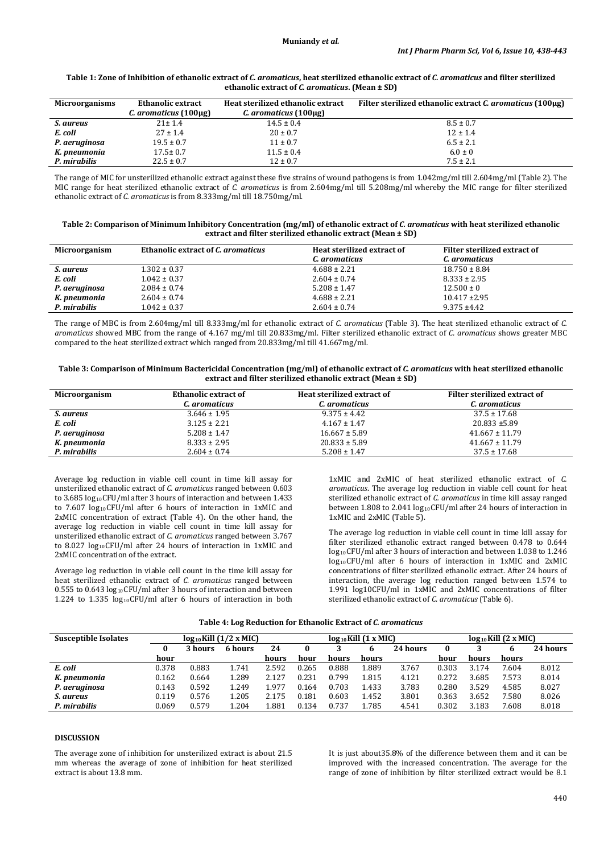## **Table 1: Zone of Inhibition of ethanolic extract of** *C. aromaticus***, heat sterilized ethanolic extract of** *C. aromaticus* **and filter sterilized ethanolic extract of** *C. aromaticus***. (Mean ± SD)**

| <b>Microorganisms</b> | Ethanolic extract     | Heat sterilized ethanolic extract | Filter sterilized ethanolic extract C. aromaticus (100µg) |
|-----------------------|-----------------------|-----------------------------------|-----------------------------------------------------------|
|                       | C. aromaticus (100µg) | C. aromaticus $(100 \mu g)$       |                                                           |
| S. aureus             | $21 \pm 1.4$          | $14.5 \pm 0.4$                    | $8.5 \pm 0.7$                                             |
| E. coli               | $27 \pm 1.4$          | $20 \pm 0.7$                      | $12 \pm 1.4$                                              |
| P. aeruginosa         | $19.5 \pm 0.7$        | $11 \pm 0.7$                      | $6.5 \pm 2.1$                                             |
| K. pneumonia          | $17.5 \pm 0.7$        | $11.5 \pm 0.4$                    | $6.0 \pm 0$                                               |
| P. mirabilis          | $22.5 \pm 0.7$        | $12 \pm 0.7$                      | $7.5 \pm 2.1$                                             |

The range of MIC for unsterilized ethanolic extract against these five strains of wound pathogens is from 1.042mg/ml till 2.604mg/ml (Table 2). The MIC range for heat sterilized ethanolic extract of *C. aromaticus* is from 2.604mg/ml till 5.208mg/ml whereby the MIC range for filter sterilized ethanolic extract of *C. aromaticus* is from 8.333mg/ml till 18.750mg/ml.

| Table 2: Comparison of Minimum Inhibitory Concentration (mg/ml) of ethanolic extract of C. aromaticus with heat sterilized ethanolic |
|--------------------------------------------------------------------------------------------------------------------------------------|
| extract and filter sterilized ethanolic extract (Mean ± SD)                                                                          |

| Microorganism | Ethanolic extract of C. aromaticus | Heat sterilized extract of<br>C. aromaticus | Filter sterilized extract of<br>C. aromaticus |
|---------------|------------------------------------|---------------------------------------------|-----------------------------------------------|
| S. aureus     | $1.302 \pm 0.37$                   | $4.688 \pm 2.21$                            | $18.750 \pm 8.84$                             |
| E. coli       | $1.042 \pm 0.37$                   | $2.604 \pm 0.74$                            | $8.333 \pm 2.95$                              |
| P. aeruginosa | $2.084 \pm 0.74$                   | $5.208 \pm 1.47$                            | $12.500 \pm 0$                                |
| K. pneumonia  | $2.604 \pm 0.74$                   | $4.688 \pm 2.21$                            | $10.417 \pm 2.95$                             |
| P. mirabilis  | $1.042 \pm 0.37$                   | $2.604 \pm 0.74$                            | $9.375 + 4.42$                                |

The range of MBC is from 2.604mg/ml till 8.333mg/ml for ethanolic extract of *C. aromaticus* (Table 3). The heat sterilized ethanolic extract of *C. aromaticus* showed MBC from the range of 4.167 mg/ml till 20.833mg/ml. Filter sterilized ethanolic extract of *C. aromaticus* shows greater MBC compared to the heat sterilized extract which ranged from 20.833mg/ml till 41.667mg/ml.

| Table 3: Comparison of Minimum Bactericidal Concentration (mg/ml) of ethanolic extract of C. aromaticus with heat sterilized ethanolic |
|----------------------------------------------------------------------------------------------------------------------------------------|
| extract and filter sterilized ethanolic extract (Mean ± SD)                                                                            |

| Microorganism | <b>Ethanolic extract of</b> | Heat sterilized extract of | Filter sterilized extract of |
|---------------|-----------------------------|----------------------------|------------------------------|
|               | C. aromaticus               | C. aromaticus              | C. aromaticus                |
| S. aureus     | $3.646 \pm 1.95$            | $9.375 \pm 4.42$           | $37.5 \pm 17.68$             |
| E. coli       | $3.125 \pm 2.21$            | $4.167 \pm 1.47$           | $20.833 \pm 5.89$            |
| P. aeruginosa | $5.208 \pm 1.47$            | $16.667 \pm 5.89$          | $41.667 \pm 11.79$           |
| K. pneumonia  | $8.333 \pm 2.95$            | $20.833 \pm 5.89$          | $41.667 \pm 11.79$           |
| P. mirabilis  | $2.604 \pm 0.74$            | $5.208 \pm 1.47$           | $37.5 \pm 17.68$             |

Average log reduction in viable cell count in time kill assay for unsterilized ethanolic extract of *C. aromaticus* ranged between 0.603 to 3.685 log<sub>10</sub>CFU/ml after 3 hours of interaction and between 1.433 to 7.607 log<sub>10</sub>CFU/ml after 6 hours of interaction in 1xMIC and 2xMIC concentration of extract (Table 4). On the other hand, the average log reduction in viable cell count in time kill assay for unsterilized ethanolic extract of *C. aromaticus* ranged between 3.767 to 8.027 log10 CFU/ml after 24 hours of interaction in 1xMIC and 2xMIC concentration of the extract.

Average log reduction in viable cell count in the time kill assay for heat sterilized ethanolic extract of *C. aromaticus* ranged between  $0.555$  to  $0.643 \log_{10}$ CFU/ml after 3 hours of interaction and between 1.224 to 1.335  $log_{10}$ CFU/ml after 6 hours of interaction in both

1xMIC and 2xMIC of heat sterilized ethanolic extract of *C. aromaticus*. The average log reduction in viable cell count for heat sterilized ethanolic extract of *C. aromaticus* in time kill assay ranged between  $1.808$  to  $2.041$  log $_{10}$ CFU/ml after 24 hours of interaction in 1xMIC and 2xMIC (Table 5).

The average log reduction in viable cell count in time kill assay for filter sterilized ethanolic extract ranged between 0.478 to 0.644 log 10CFU/ml after 3 hours of interaction and between 1.038 to 1.246 log10CFU/ml after 6 hours of interaction in 1xMIC and 2xMIC concentrations of filter sterilized ethanolic extract. After 24 hours of interaction, the average log reduction ranged between 1.574 to 1.991 log10CFU/ml in 1xMIC and 2xMIC concentrations of filter sterilized ethanolic extract of *C. aromaticus* (Table 6).

| Susceptible Isolates | $log_{10}$ Kill $(1/2 \times MIC)$ |         |         |       | $log_{10}$ Kill $(1 x$ MIC) |       |       |          | $log_{10}$ Kill $(2 \times$ MIC) |       |       |          |
|----------------------|------------------------------------|---------|---------|-------|-----------------------------|-------|-------|----------|----------------------------------|-------|-------|----------|
|                      |                                    | 3 hours | 6 hours | 24    |                             |       |       | 24 hours |                                  |       |       | 24 hours |
|                      | hour                               |         |         | hours | hour                        | hours | hours |          | hour                             | hours | hours |          |
| E. coli              | 0.378                              | 0.883   | 1.741   | 2.592 | 0.265                       | 0.888 | 1.889 | 3.767    | 0.303                            | 3.174 | 7.604 | 8.012    |
| K. pneumonia         | 0.162                              | 0.664   | 1.289   | 2.127 | 0.231                       | 0.799 | 1.815 | 4.121    | 0.272                            | 3.685 | 7.573 | 8.014    |
| P. aeruginosa        | 0.143                              | 0.592   | 1.249   | 1.977 | 0.164                       | 0.703 | 1.433 | 3.783    | 0.280                            | 3.529 | 4.585 | 8.027    |
| S. aureus            | 0.119                              | 0.576   | 1.205   | 2.175 | 0.181                       | 0.603 | 1.452 | 3.801    | 0.363                            | 3.652 | 7.580 | 8.026    |
| P. mirabilis         | 0.069                              | 0.579   | 1.204   | L.881 | 0.134                       | 0.737 | 1.785 | 4.541    | 0.302                            | 3.183 | 7.608 | 8.018    |

# **DISCUSSION**

The average zone of inhibition for unsterilized extract is about 21.5 mm whereas the average of zone of inhibition for heat sterilized extract is about 13.8 mm.

It is just about35.8% of the difference between them and it can be improved with the increased concentration. The average for the range of zone of inhibition by filter sterilized extract would be 8.1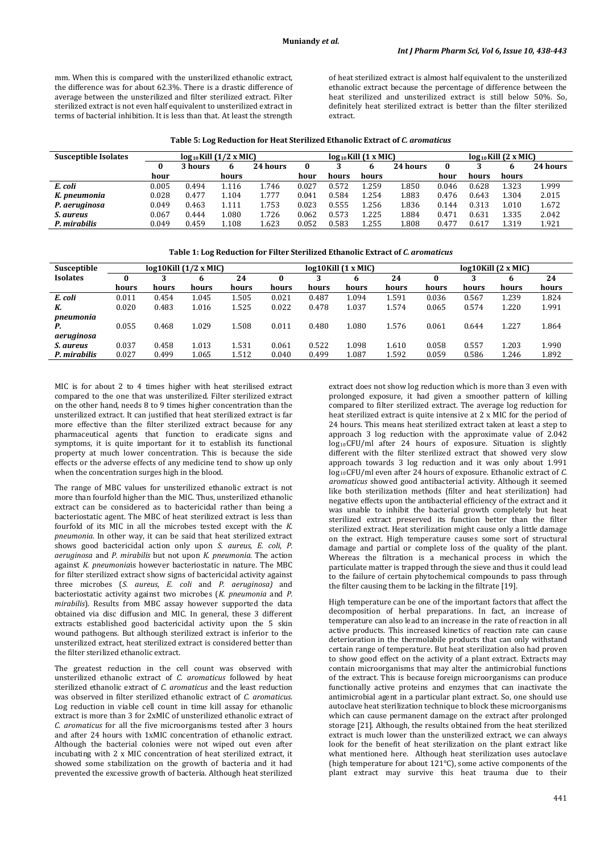mm. When this is compared with the unsterilized ethanolic extract the difference was for about 62.3%. There is a drastic difference of average between the unsterilized and filter sterilized extract. Filter sterilized extract is not even half equivalent to unsterilized extract in terms of bacterial inhibition. It is less than that. At least the strength

of heat sterilized extract is almost half equivalent to the unsterilized ethanolic extract because the percentage of difference between the heat sterilized and unsterilized extract is still below 50%. So, definitely heat sterilized extract is better than the filter sterilized extract.

| <b>Susceptible Isolates</b> | $log_{10}$ Kill $(1/2 \times MIC)$ |         |       |          |       | $log_{10}$ Kill $(1 x$ MIC) |       |          |       | $log_{10}$ Kill (2 x MIC) |       |          |  |
|-----------------------------|------------------------------------|---------|-------|----------|-------|-----------------------------|-------|----------|-------|---------------------------|-------|----------|--|
|                             | $\bf{0}$                           | 3 hours |       | 24 hours | 0     |                             |       | 24 hours | 0     |                           |       | 24 hours |  |
|                             | hour                               |         | hours |          | hour  | hours                       | hours |          | hour  | hours                     | hours |          |  |
| E. coli                     | 0.005                              | 0.494   | 1.116 | 1.746    | 0.027 | 0.572                       | 1.259 | L.850    | 0.046 | 0.628                     | 1.323 | 1.999    |  |
| K. pneumonia                | 0.028                              | 0.477   | 1.104 | 1.777    | 0.041 | 0.584                       | 1.254 | 1.883    | 0.476 | 0.643                     | 1.304 | 2.015    |  |
| P. aeruginosa               | 0.049                              | 0.463   | 1.111 | 1.753    | 0.023 | 0.555                       | 1.256 | 1.836    | 0.144 | 0.313                     | 1.010 | 1.672    |  |
| S. aureus                   | 0.067                              | 0.444   | 1.080 | 1.726    | 0.062 | 0.573                       | 1.225 | .884     | 0.471 | 0.631                     | 1.335 | 2.042    |  |
| P. mirabilis                | 0.049                              | 0.459   | 1.108 | 1.623    | 0.052 | 0.583                       | 1.255 | L.808    | 0.477 | 0.617                     | 1.319 | 1.921    |  |

**Table 1: Log Reduction for Filter Sterilized Ethanolic Extract of** *C. aromaticus*

| Susceptible     |       |       | $log10$ Kill $(1/2 x$ MIC) |       |       |       | $log10$ Kill $(1 \times M)$ |       | $log10$ Kill $(2 \times MIC)$ |       |       |       |  |
|-----------------|-------|-------|----------------------------|-------|-------|-------|-----------------------------|-------|-------------------------------|-------|-------|-------|--|
| <b>Isolates</b> | 0     |       | h                          | 24    | 0     | 3     | 6                           | 24    | 0                             |       | h     | 24    |  |
|                 | hours | hours | hours                      | hours | hours | hours | hours                       | hours | hours                         | hours | hours | hours |  |
| E. coli         | 0.011 | 0.454 | .045                       | L.505 | 0.021 | 0.487 | 1.094                       | l.591 | 0.036                         | 0.567 | 1.239 | 1.824 |  |
| К.              | 0.020 | 0.483 | l.016                      | 1.525 | 0.022 | 0.478 | 1.037                       | .574  | 0.065                         | 0.574 | 1.220 | 1.991 |  |
| pneumonia       |       |       |                            |       |       |       |                             |       |                               |       |       |       |  |
| Р.              | 0.055 | 0.468 | 1.029                      | 1.508 | 0.011 | 0.480 | 1.080                       | l.576 | 0.061                         | 0.644 | 1.227 | 1.864 |  |
| aeruginosa      |       |       |                            |       |       |       |                             |       |                               |       |       |       |  |
| S. aureus       | 0.037 | 0.458 | .013                       | 1.531 | 0.061 | 0.522 | 1.098                       | 1.610 | 0.058                         | 0.557 | 1.203 | 1.990 |  |
| P. mirabilis    | 0.027 | 0.499 | 1.065                      | 1.512 | 0.040 | 0.499 | 1.087                       | 1.592 | 0.059                         | 0.586 | 1.246 | 1.892 |  |

MIC is for about 2 to 4 times higher with heat sterilised extract compared to the one that was unsterilized. Filter sterilized extract on the other hand, needs 8 to 9 times higher concentration than the unsterilized extract. It can justified that heat sterilized extract is far more effective than the filter sterilized extract because for any pharmaceutical agents that function to eradicate signs and symptoms, it is quite important for it to establish its functional property at much lower concentration. This is because the side effects or the adverse effects of any medicine tend to show up only when the concentration surges high in the blood.

The range of MBC values for unsterilized ethanolic extract is not more than fourfold higher than the MIC. Thus, unsterilized ethanolic extract can be considered as to bactericidal rather than being a bacteriostatic agent. The MBC of heat sterilized extract is less than fourfold of its MIC in all the microbes tested except with the *K. pneumonia*. In other way, it can be said that heat sterilized extract shows good bactericidal action only upon *S. aureus*, *E. coli*, *P. aeruginosa* and *P. mirabilis* but not upon *K. pneumonia*. The action against *K. pneumonia*is however bacteriostatic in nature. The MBC for filter sterilized extract show signs of bactericidal activity against three microbes (*S. aureus*, *E. coli* and *P. aeruginosa)* and bacteriostatic activity against two microbes (*K. pneumonia* and *P. mirabilis*). Results from MBC assay however supported the data obtained via disc diffusion and MIC. In general, these 3 different extracts established good bactericidal activity upon the 5 skin wound pathogens. But although sterilized extract is inferior to the unsterilized extract, heat sterilized extract is considered better than the filter sterilized ethanolic extract.

The greatest reduction in the cell count was observed with unsterilized ethanolic extract of *C. aromaticus* followed by heat sterilized ethanolic extract of *C. aromaticus* and the least reduction was observed in filter sterilized ethanolic extract of *C. aromaticus*. Log reduction in viable cell count in time kill assay for ethanolic extract is more than 3 for 2xMIC of unsterilized ethanolic extract of *C. aromaticus* for all the five microorganisms tested after 3 hours and after 24 hours with 1xMIC concentration of ethanolic extract. Although the bacterial colonies were not wiped out even after incubating with 2 x MIC concentration of heat sterilized extract, it showed some stabilization on the growth of bacteria and it had prevented the excessive growth of bacteria. Although heat sterilized

extract does not show log reduction which is more than 3 even with prolonged exposure, it had given a smoother pattern of killing compared to filter sterilized extract. The average log reduction for heat sterilized extract is quite intensive at 2 x MIC for the period of 24 hours. This means heat sterilized extract taken at least a step to approach 3 log reduction with the approximate value of 2.042 log10CFU/ml after 24 hours of exposure. Situation is slightly different with the filter sterilized extract that showed very slow approach towards 3 log reduction and it was only about 1.991 log10 CFU/ml even after 24 hours of exposure. Ethanolic extract of *C. aromaticus* showed good antibacterial activity. Although it seemed like both sterilization methods (filter and heat sterilization) had negative effects upon the antibacterial efficiency of the extract and it was unable to inhibit the bacterial growth completely but heat sterilized extract preserved its function better than the filter sterilized extract. Heat sterilization might cause only a little damage on the extract. High temperature causes some sort of structural damage and partial or complete loss of the quality of the plant. Whereas the filtration is a mechanical process in which the particulate matter is trapped through the sieve and thus it could lead to the failure of certain phytochemical compounds to pass through the filter causing them to be lacking in the filtrate [19].

High temperature can be one of the important factors that affect the decomposition of herbal preparations. In fact, an increase of temperature can also lead to an increase in the rate of reaction in all active products. This increased kinetics of reaction rate can cause deterioration in the thermolabile products that can only withstand certain range of temperature. But heat sterilization also had proven to show good effect on the activity of a plant extract. Extracts may contain microorganisms that may alter the antimicrobial functions of the extract. This is because foreign microorganisms can produce functionally active proteins and enzymes that can inactivate the antimicrobial agent in a particular plant extract. So, one should use autoclave heat sterilization technique to block these microorganisms which can cause permanent damage on the extract after prolonged storage [21]. Although, the results obtained from the heat sterilized extract is much lower than the unsterilized extract, we can always look for the benefit of heat sterilization on the plant extract like what mentioned here. Although heat sterilization uses autoclave (high temperature for about 121°C), some active components of the plant extract may survive this heat trauma due to their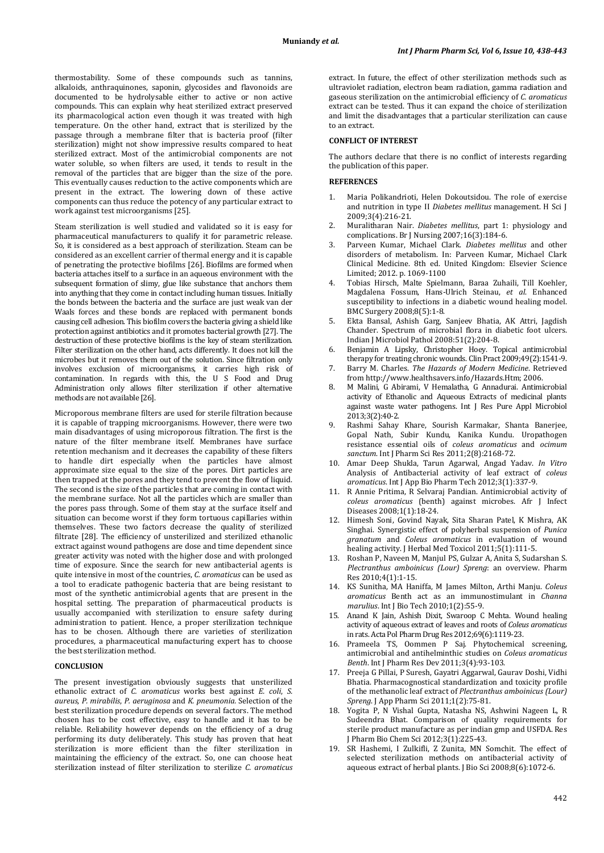thermostability. Some of these compounds such as tannins, alkaloids, anthraquinones, saponin, glycosides and flavonoids are documented to be hydrolysable either to active or non active compounds. This can explain why heat sterilized extract preserved its pharmacological action even though it was treated with high temperature. On the other hand, extract that is sterilized by the passage through a membrane filter that is bacteria proof (filter sterilization) might not show impressive results compared to heat sterilized extract. Most of the antimicrobial components are not water soluble, so when filters are used, it tends to result in the removal of the particles that are bigger than the size of the pore. This eventually causes reduction to the active components which are present in the extract. The lowering down of these active components can thus reduce the potency of any particular extract to work against test microorganisms [25].

Steam sterilization is well studied and validated so it is easy for pharmaceutical manufacturers to qualify it for parametric release. So, it is considered as a best approach of sterilization. Steam can be considered as an excellent carrier of thermal energy and it is capable of penetrating the protective biofilms [26]. Biofilms are formed when bacteria attaches itself to a surface in an aqueous environment with the subsequent formation of slimy, glue like substance that anchors them into anything that they come in contact including human tissues. Initially the bonds between the bacteria and the surface are just weak van der Waals forces and these bonds are replaced with permanent bonds causing cell adhesion. This biofilm covers the bacteria giving a shield like protection against antibiotics and it promotes bacterial growth [27]. The destruction of these protective biofilms is the key of steam sterilization. Filter sterilization on the other hand, acts differently. It does not kill the microbes but it removes them out of the solution. Since filtration only involves exclusion of microorganisms, it carries high risk of contamination. In regards with this, the U S Food and Drug Administration only allows filter sterilization if other alternative methods are not available [26].

Microporous membrane filters are used for sterile filtration because it is capable of trapping microorganisms. However, there were two main disadvantages of using microporous filtration. The first is the nature of the filter membrane itself. Membranes have surface retention mechanism and it decreases the capability of these filters to handle dirt especially when the particles have almost approximate size equal to the size of the pores. Dirt particles are then trapped at the pores and they tend to prevent the flow of liquid. The second is the size of the particles that are coming in contact with the membrane surface. Not all the particles which are smaller than the pores pass through. Some of them stay at the surface itself and situation can become worst if they form tortuous capillaries within themselves. These two factors decrease the quality of sterilized filtrate [28]. The efficiency of unsterilized and sterilized ethanolic extract against wound pathogens are dose and time dependent since greater activity was noted with the higher dose and with prolonged time of exposure. Since the search for new antibacterial agents is quite intensive in most of the countries, *C. aromaticus* can be used as a tool to eradicate pathogenic bacteria that are being resistant to most of the synthetic antimicrobial agents that are present in the hospital setting. The preparation of pharmaceutical products is usually accompanied with sterilization to ensure safety during administration to patient. Hence, a proper sterilization technique has to be chosen. Although there are varieties of sterilization procedures, a pharmaceutical manufacturing expert has to choose the best sterilization method.

#### **CONCLUSION**

The present investigation obviously suggests that unsterilized ethanolic extract of *C. aromaticus* works best against *E. coli*, *S. aureus*, *P. mirabilis*, *P. aeruginosa* and *K. pneumonia.* Selection of the best sterilization procedure depends on several factors. The method chosen has to be cost effective, easy to handle and it has to be reliable. Reliability however depends on the efficiency of a drug performing its duty deliberately. This study has proven that heat sterilization is more efficient than the filter sterilization in maintaining the efficiency of the extract. So, one can choose heat sterilization instead of filter sterilization to sterilize *C. aromaticus*

extract. In future, the effect of other sterilization methods such as ultraviolet radiation, electron beam radiation, gamma radiation and gaseous sterilization on the antimicrobial efficiency of *C. aromaticus* extract can be tested. Thus it can expand the choice of sterilization and limit the disadvantages that a particular sterilization can cause to an extract.

#### **CONFLICT OF INTEREST**

The authors declare that there is no conflict of interests regarding the publication of this paper.

## **REFERENCES**

- 1. Maria Polikandrioti, Helen Dokoutsidou. The role of exercise and nutrition in type II *Diabetes mellitus* management. H Sci J 2009;3(4):216-21.
- 2. Muralitharan Nair. *Diabetes mellitus*, part 1: physiology and complications. Br J Nursing 2007 ;16(3):184-6.
- 3. Parveen Kumar, Michael Clark. *Diabetes mellitus* and other disorders of metabolism. In: Parveen Kumar, Michael Clark Clinical Medicine. 8th ed. United Kingdom: Elsevier Science Limited; 2012. p. 1069-1100
- 4. Tobias Hirsch, Malte Spielmann, Baraa Zuhaili, Till Koehler, Magdalena Fossum, Hans-Ulrich Steinau, *et al*. Enhanced susceptibility to infections in a diabetic wound healing model. BMC Surgery 2008;8(5):1-8.
- 5. Ekta Bansal, Ashish Garg, Sanjeev Bhatia, AK Attri, Jagdish Chander. Spectrum of microbial flora in diabetic foot ulcers. Indian J Microbiol Pathol 2008:51(2):204-8.
- 6. Benjamin A Lipsky, Christopher Hoey. Topical antimicrobial therapy for treating chronic wounds. Clin Pract 2009;49(2):1541-9.
- 7. Barry M. Charles. *The Hazards of Modern Medicine* . Retrieved from http://www.healthsavers.info/Hazards.Htm; 2006.
- 8. M Malini, G Abirami, V Hemalatha, G Annadurai. Antimicrobial activity of Ethanolic and Aqueous Extracts of medicinal plants against waste water pathogens. Int J Res Pure Appl Microbiol 2013;3(2):40-2.
- 9. Rashmi Sahay Khare, Sourish Karmakar, Shanta Banerjee, Gopal Nath, Subir Kundu, Kanika Kundu. Uropathogen resistance essential oils of *coleus aromaticus* and *ocimum sanctum*. Int J Pharm Sci Res 2011;2(8):2168-72.
- 10. Amar Deep Shukla, Tarun Agarwal, Angad Yadav. *In Vitro* Analysis of Antibacterial activity of leaf extract of *coleus aromaticus*. Int J App Bio Pharm Tech 2012;3(1):337-9.
- 11. R Annie Pritima, R Selvaraj Pandian. Antimicrobial activity of *coleus aromaticus* (benth) against microbes. Afr J Infect Diseases 2008;1(1):18-24.
- 12. Himesh Soni, Govind Nayak, Sita Sharan Patel, K Mishra, AK Singhai. Synergistic effect of polyherbal suspension of *Punica granatum* and *Coleus aromaticus* in evaluation of wound healing activity. J Herbal Med Toxicol 2011;5(1):111-5.
- 13. Roshan P, Naveen M, Manjul PS, Gulzar A, Anita S, Sudarshan S. *Plectranthus amboinicus (Lour) Spreng*: an overview. Pharm Res 2010;4(1):1-15.
- 14. KS Sunitha, MA Haniffa, M James Milton, Arthi Manju. *Coleus aromaticus* Benth act as an immunostimulant in *Channa marulius*. Int J Bio Tech 2010;1(2):55-9.
- 15. Anand K Jain, Ashish Dixit, Swaroop C Mehta. Wound healing activity of aqueous extract of leaves and roots of *Coleus aromaticus* in rats. Acta Pol Pharm Drug Res 2012;69(6):1119-23.
- 16. Prameela TS, Oommen P Saj. Phytochemical screening, antimicrobial and antihelminthic studies on *Coleus aromaticus Benth*. Int J Pharm Res Dev 2011;3(4):93-103.
- 17. Preeja G Pillai, P Suresh, Gayatri Aggarwal, Gaurav Doshi, Vidhi Bhatia. Pharmacognostical standardization and toxicity profile of the methanolic leaf extract of *Plectranthus amboinicus (Lour) Spreng*. J App Pharm Sci 2011;1(2):75-81.
- 18. Yogita P, N Vishal Gupta, Natasha NS, Ashwini Nageen L, R Sudeendra Bhat. Comparison of quality requirements for sterile product manufacture as per indian gmp and USFDA. Res J Pharm Bio Chem Sci 2012;3(1):225-43.
- 19. SR Hashemi, I Zulkifli, Z Zunita, MN Somchit. The effect of selected sterilization methods on antibacterial activity of aqueous extract of herbal plants. J Bio Sci 2008;8(6):1072-6.